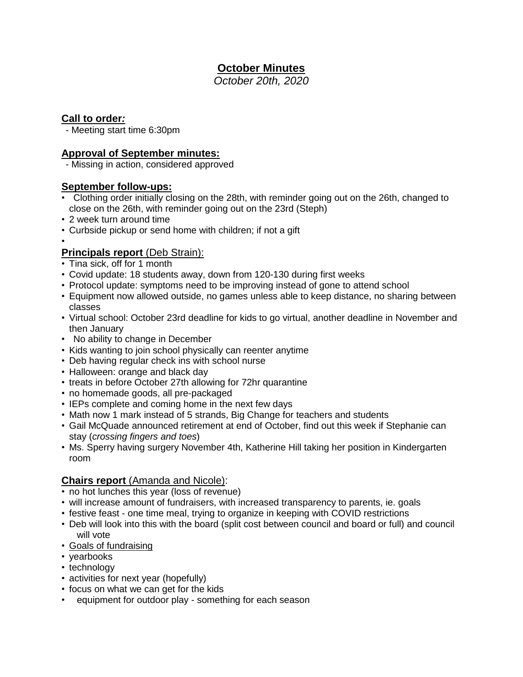# **October Minutes**

*October 20th, 2020* 

## **Call to order***:*

- Meeting start time 6:30pm

### **Approval of September minutes:**

- Missing in action, considered approved

### **September follow-ups:**

- Clothing order initially closing on the 28th, with reminder going out on the 26th, changed to close on the 26th, with reminder going out on the 23rd (Steph)
- 2 week turn around time
- Curbside pickup or send home with children; if not a gift

#### •

# **Principals report (Deb Strain):**

- Tina sick, off for 1 month
- Covid update: 18 students away, down from 120-130 during first weeks
- Protocol update: symptoms need to be improving instead of gone to attend school
- Equipment now allowed outside, no games unless able to keep distance, no sharing between classes
- Virtual school: October 23rd deadline for kids to go virtual, another deadline in November and then January
- No ability to change in December
- Kids wanting to join school physically can reenter anytime
- Deb having regular check ins with school nurse
- Halloween: orange and black day
- treats in before October 27th allowing for 72hr quarantine
- no homemade goods, all pre-packaged
- IEPs complete and coming home in the next few days
- Math now 1 mark instead of 5 strands, Big Change for teachers and students
- Gail McQuade announced retirement at end of October, find out this week if Stephanie can stay (*crossing fingers and toes*)
- Ms. Sperry having surgery November 4th, Katherine Hill taking her position in Kindergarten room

# **Chairs report** (Amanda and Nicole):

- no hot lunches this year (loss of revenue)
- will increase amount of fundraisers, with increased transparency to parents, ie. goals
- festive feast one time meal, trying to organize in keeping with COVID restrictions
- Deb will look into this with the board (split cost between council and board or full) and council will vote
- Goals of fundraising
- yearbooks
- technology
- activities for next year (hopefully)
- focus on what we can get for the kids
- equipment for outdoor play something for each season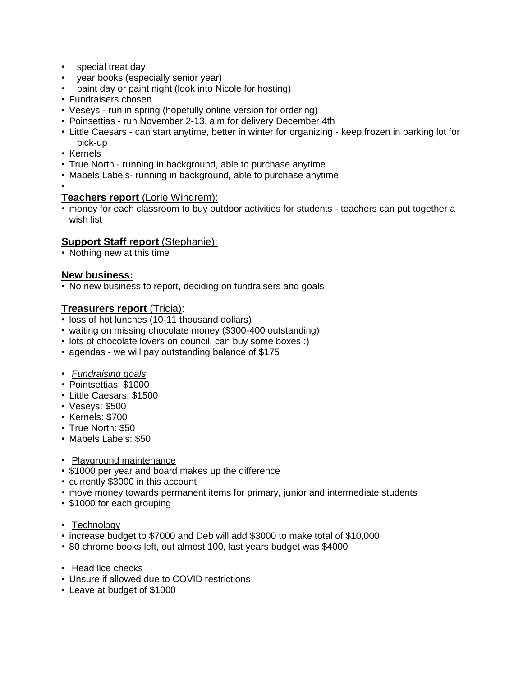- special treat day
- year books (especially senior year)
- paint day or paint night (look into Nicole for hosting)
- Fundraisers chosen
- Veseys run in spring (hopefully online version for ordering)
- Poinsettias run November 2-13, aim for delivery December 4th
- Little Caesars can start anytime, better in winter for organizing keep frozen in parking lot for pick-up
- Kernels
- True North running in background, able to purchase anytime
- Mabels Labels- running in background, able to purchase anytime
- •

#### **Teachers report** (Lorie Windrem):

• money for each classroom to buy outdoor activities for students - teachers can put together a wish list

### **Support Staff report** (Stephanie):

• Nothing new at this time

### **New business:**

• No new business to report, deciding on fundraisers and goals

### **Treasurers report** (Tricia):

- loss of hot lunches (10-11 thousand dollars)
- waiting on missing chocolate money (\$300-400 outstanding)
- lots of chocolate lovers on council, can buy some boxes :)
- agendas we will pay outstanding balance of \$175
- *Fundraising goals*
- Pointsettias: \$1000
- Little Caesars: \$1500
- Veseys: \$500
- Kernels: \$700
- True North: \$50
- Mabels Labels: \$50
- Playground maintenance
- \$1000 per year and board makes up the difference
- currently \$3000 in this account
- move money towards permanent items for primary, junior and intermediate students
- \$1000 for each grouping
- Technology
- increase budget to \$7000 and Deb will add \$3000 to make total of \$10,000
- 80 chrome books left, out almost 100, last years budget was \$4000
- Head lice checks
- Unsure if allowed due to COVID restrictions
- Leave at budget of \$1000